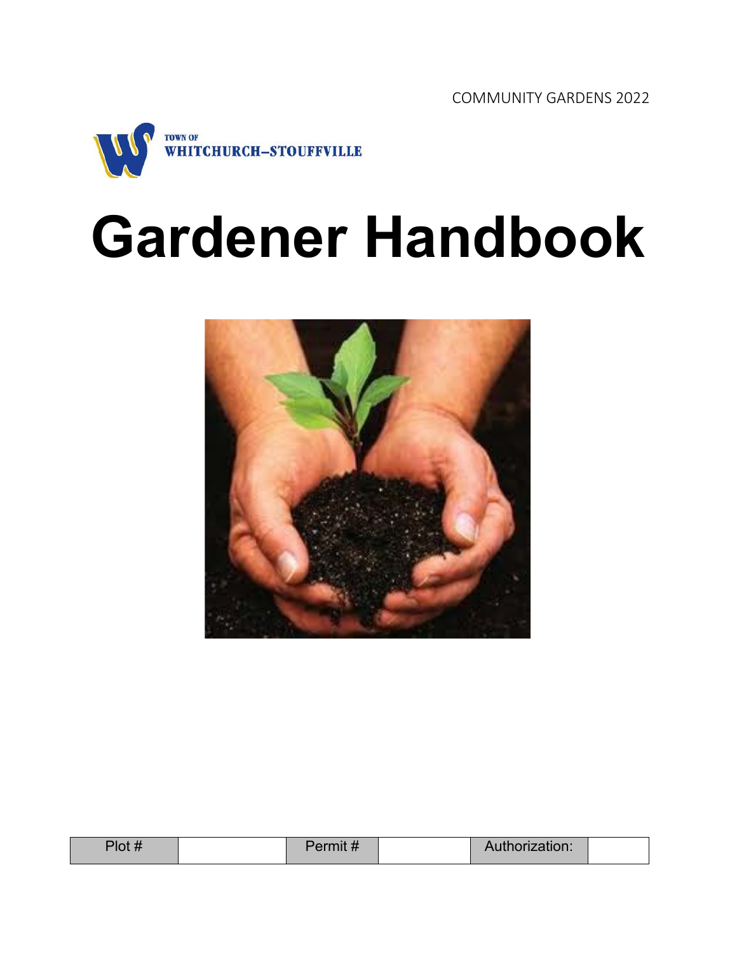

# **Gardener Handbook**



| リヘキ<br>ΊΟι<br>. | UIIIIL <i>II</i> | orization: |  |
|-----------------|------------------|------------|--|
|                 |                  |            |  |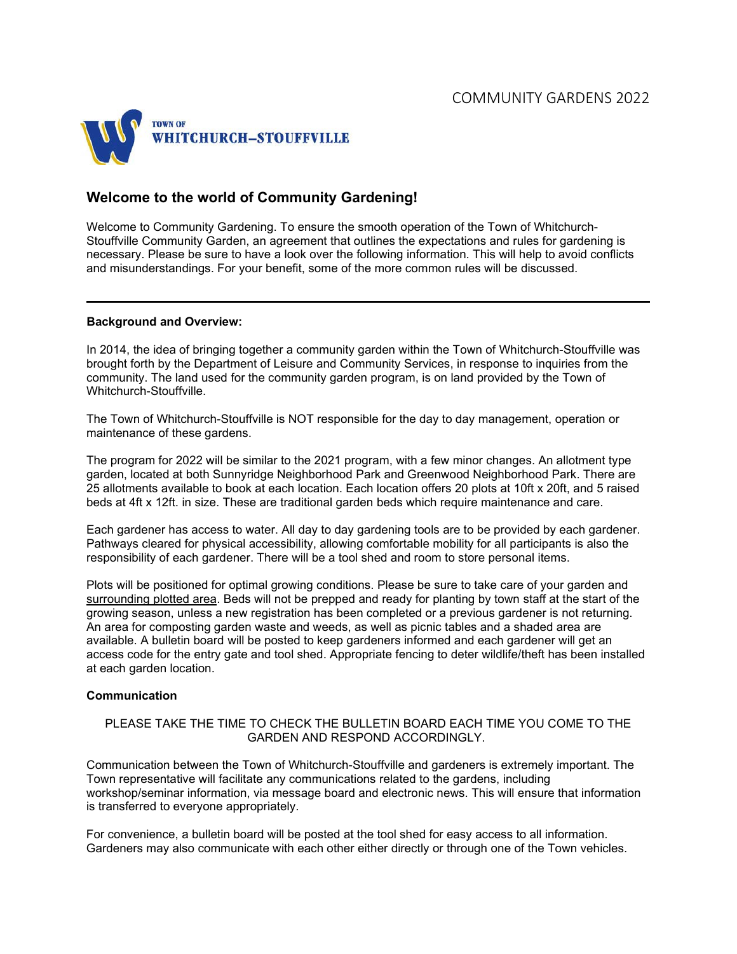

## **Welcome to the world of Community Gardening!**

Welcome to Community Gardening. To ensure the smooth operation of the Town of Whitchurch-Stouffville Community Garden, an agreement that outlines the expectations and rules for gardening is necessary. Please be sure to have a look over the following information. This will help to avoid conflicts and misunderstandings. For your benefit, some of the more common rules will be discussed.

#### **Background and Overview:**

In 2014, the idea of bringing together a community garden within the Town of Whitchurch-Stouffville was brought forth by the Department of Leisure and Community Services, in response to inquiries from the community. The land used for the community garden program, is on land provided by the Town of Whitchurch-Stouffville.

The Town of Whitchurch-Stouffville is NOT responsible for the day to day management, operation or maintenance of these gardens.

The program for 2022 will be similar to the 2021 program, with a few minor changes. An allotment type garden, located at both Sunnyridge Neighborhood Park and Greenwood Neighborhood Park. There are 25 allotments available to book at each location. Each location offers 20 plots at 10ft x 20ft, and 5 raised beds at 4ft x 12ft. in size. These are traditional garden beds which require maintenance and care.

Each gardener has access to water. All day to day gardening tools are to be provided by each gardener. Pathways cleared for physical accessibility, allowing comfortable mobility for all participants is also the responsibility of each gardener. There will be a tool shed and room to store personal items.

Plots will be positioned for optimal growing conditions. Please be sure to take care of your garden and surrounding plotted area. Beds will not be prepped and ready for planting by town staff at the start of the growing season, unless a new registration has been completed or a previous gardener is not returning. An area for composting garden waste and weeds, as well as picnic tables and a shaded area are available. A bulletin board will be posted to keep gardeners informed and each gardener will get an access code for the entry gate and tool shed. Appropriate fencing to deter wildlife/theft has been installed at each garden location.

#### **Communication**

#### PLEASE TAKE THE TIME TO CHECK THE BULLETIN BOARD EACH TIME YOU COME TO THE GARDEN AND RESPOND ACCORDINGLY.

Communication between the Town of Whitchurch-Stouffville and gardeners is extremely important. The Town representative will facilitate any communications related to the gardens, including workshop/seminar information, via message board and electronic news. This will ensure that information is transferred to everyone appropriately.

For convenience, a bulletin board will be posted at the tool shed for easy access to all information. Gardeners may also communicate with each other either directly or through one of the Town vehicles.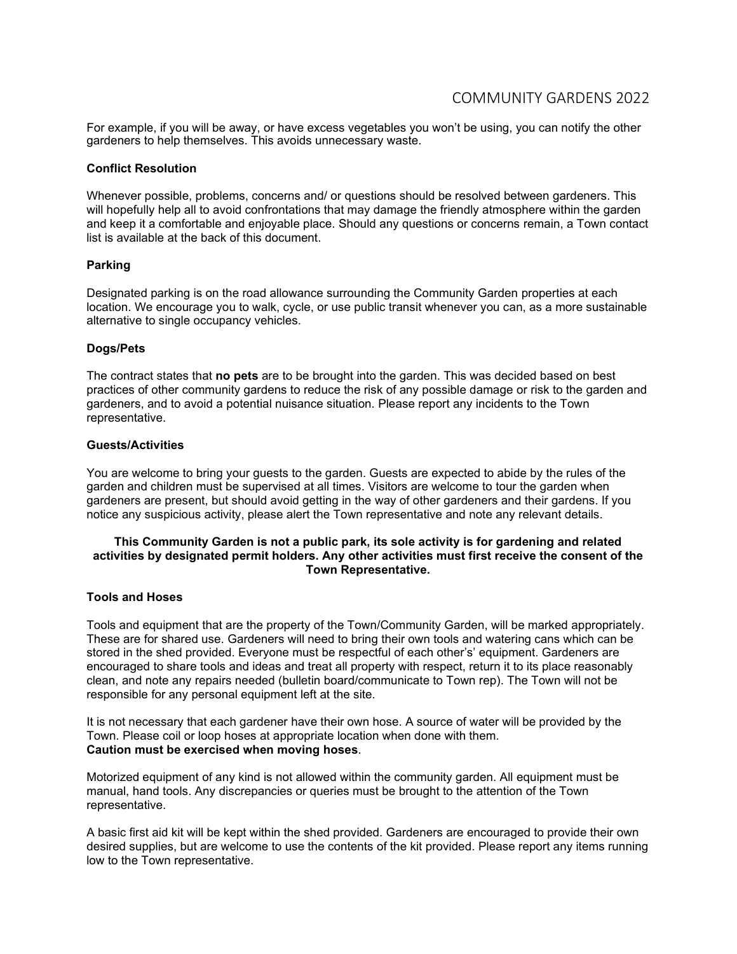For example, if you will be away, or have excess vegetables you won't be using, you can notify the other gardeners to help themselves. This avoids unnecessary waste.

#### **Conflict Resolution**

Whenever possible, problems, concerns and/ or questions should be resolved between gardeners. This will hopefully help all to avoid confrontations that may damage the friendly atmosphere within the garden and keep it a comfortable and enjoyable place. Should any questions or concerns remain, a Town contact list is available at the back of this document.

#### **Parking**

Designated parking is on the road allowance surrounding the Community Garden properties at each location. We encourage you to walk, cycle, or use public transit whenever you can, as a more sustainable alternative to single occupancy vehicles.

#### **Dogs/Pets**

The contract states that **no pets** are to be brought into the garden. This was decided based on best practices of other community gardens to reduce the risk of any possible damage or risk to the garden and gardeners, and to avoid a potential nuisance situation. Please report any incidents to the Town representative.

#### **Guests/Activities**

You are welcome to bring your guests to the garden. Guests are expected to abide by the rules of the garden and children must be supervised at all times. Visitors are welcome to tour the garden when gardeners are present, but should avoid getting in the way of other gardeners and their gardens. If you notice any suspicious activity, please alert the Town representative and note any relevant details.

#### **This Community Garden is not a public park, its sole activity is for gardening and related activities by designated permit holders. Any other activities must first receive the consent of the Town Representative.**

#### **Tools and Hoses**

Tools and equipment that are the property of the Town/Community Garden, will be marked appropriately. These are for shared use. Gardeners will need to bring their own tools and watering cans which can be stored in the shed provided. Everyone must be respectful of each other's' equipment. Gardeners are encouraged to share tools and ideas and treat all property with respect, return it to its place reasonably clean, and note any repairs needed (bulletin board/communicate to Town rep). The Town will not be responsible for any personal equipment left at the site.

It is not necessary that each gardener have their own hose. A source of water will be provided by the Town. Please coil or loop hoses at appropriate location when done with them. **Caution must be exercised when moving hoses**.

Motorized equipment of any kind is not allowed within the community garden. All equipment must be manual, hand tools. Any discrepancies or queries must be brought to the attention of the Town representative.

A basic first aid kit will be kept within the shed provided. Gardeners are encouraged to provide their own desired supplies, but are welcome to use the contents of the kit provided. Please report any items running low to the Town representative.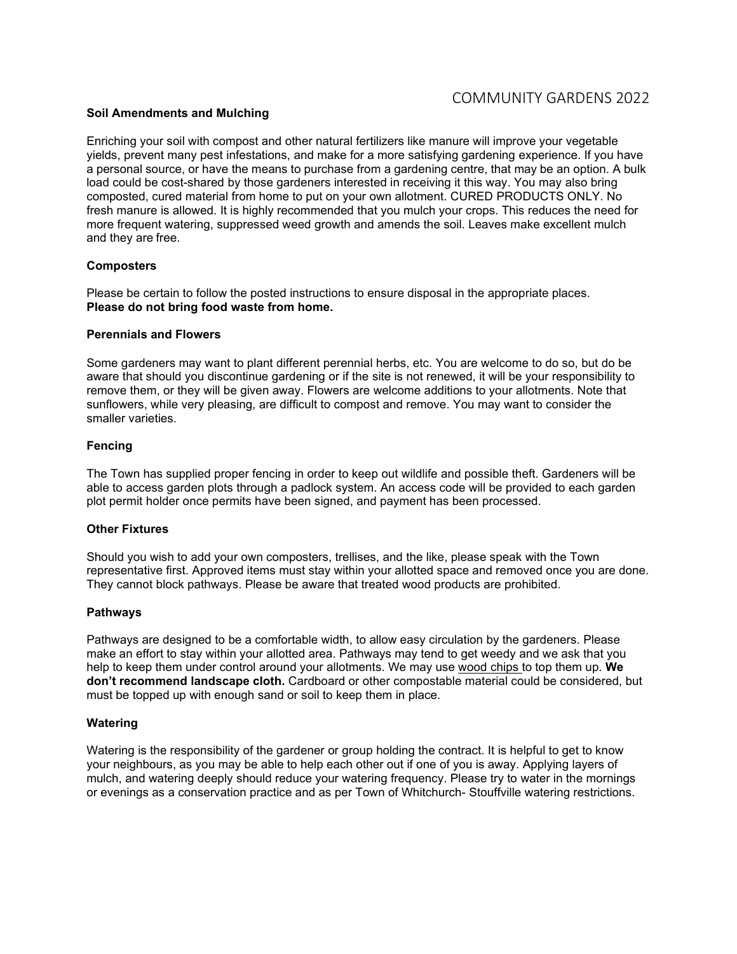#### **Soil Amendments and Mulching**

Enriching your soil with compost and other natural fertilizers like manure will improve your vegetable yields, prevent many pest infestations, and make for a more satisfying gardening experience. If you have a personal source, or have the means to purchase from a gardening centre, that may be an option. A bulk load could be cost-shared by those gardeners interested in receiving it this way. You may also bring composted, cured material from home to put on your own allotment. CURED PRODUCTS ONLY. No fresh manure is allowed. It is highly recommended that you mulch your crops. This reduces the need for more frequent watering, suppressed weed growth and amends the soil. Leaves make excellent mulch and they are free.

#### **Composters**

Please be certain to follow the posted instructions to ensure disposal in the appropriate places. **Please do not bring food waste from home.** 

#### **Perennials and Flowers**

Some gardeners may want to plant different perennial herbs, etc. You are welcome to do so, but do be aware that should you discontinue gardening or if the site is not renewed, it will be your responsibility to remove them, or they will be given away. Flowers are welcome additions to your allotments. Note that sunflowers, while very pleasing, are difficult to compost and remove. You may want to consider the smaller varieties.

#### **Fencing**

The Town has supplied proper fencing in order to keep out wildlife and possible theft. Gardeners will be able to access garden plots through a padlock system. An access code will be provided to each garden plot permit holder once permits have been signed, and payment has been processed.

#### **Other Fixtures**

Should you wish to add your own composters, trellises, and the like, please speak with the Town representative first. Approved items must stay within your allotted space and removed once you are done. They cannot block pathways. Please be aware that treated wood products are prohibited.

#### **Pathways**

Pathways are designed to be a comfortable width, to allow easy circulation by the gardeners. Please make an effort to stay within your allotted area. Pathways may tend to get weedy and we ask that you help to keep them under control around your allotments. We may use wood chips to top them up. **We don't recommend landscape cloth.** Cardboard or other compostable material could be considered, but must be topped up with enough sand or soil to keep them in place.

#### **Watering**

Watering is the responsibility of the gardener or group holding the contract. It is helpful to get to know your neighbours, as you may be able to help each other out if one of you is away. Applying layers of mulch, and watering deeply should reduce your watering frequency. Please try to water in the mornings or evenings as a conservation practice and as per Town of Whitchurch- Stouffville watering restrictions.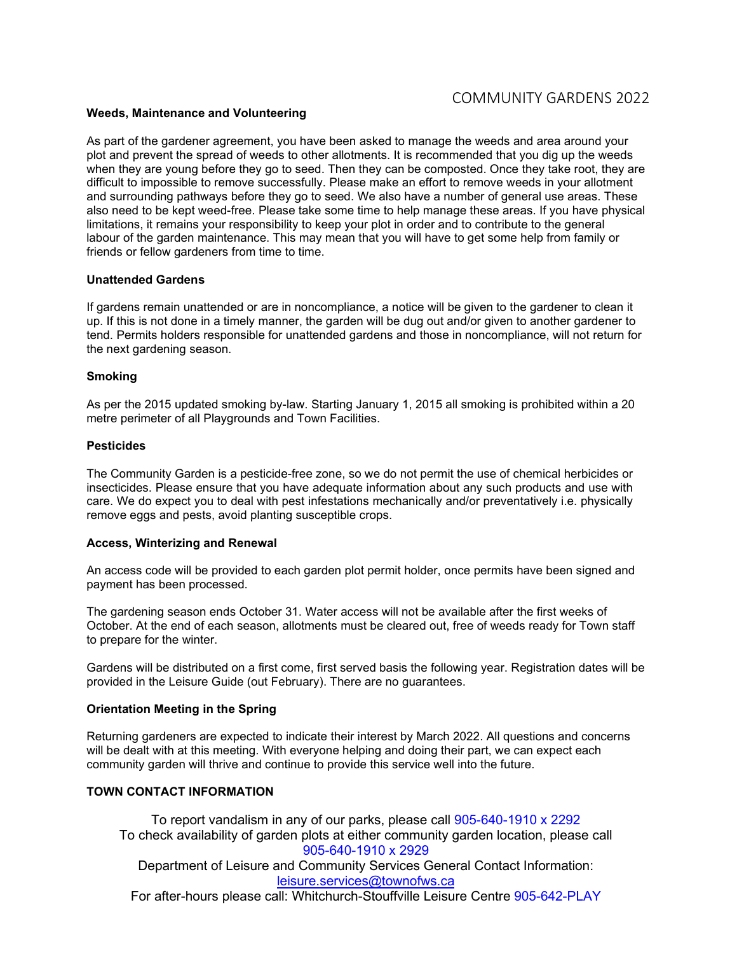#### **Weeds, Maintenance and Volunteering**

As part of the gardener agreement, you have been asked to manage the weeds and area around your plot and prevent the spread of weeds to other allotments. It is recommended that you dig up the weeds when they are young before they go to seed. Then they can be composted. Once they take root, they are difficult to impossible to remove successfully. Please make an effort to remove weeds in your allotment and surrounding pathways before they go to seed. We also have a number of general use areas. These also need to be kept weed-free. Please take some time to help manage these areas. If you have physical limitations, it remains your responsibility to keep your plot in order and to contribute to the general labour of the garden maintenance. This may mean that you will have to get some help from family or friends or fellow gardeners from time to time.

#### **Unattended Gardens**

If gardens remain unattended or are in noncompliance, a notice will be given to the gardener to clean it up. If this is not done in a timely manner, the garden will be dug out and/or given to another gardener to tend. Permits holders responsible for unattended gardens and those in noncompliance, will not return for the next gardening season.

#### **Smoking**

As per the 2015 updated smoking by-law. Starting January 1, 2015 all smoking is prohibited within a 20 metre perimeter of all Playgrounds and Town Facilities.

#### **Pesticides**

The Community Garden is a pesticide-free zone, so we do not permit the use of chemical herbicides or insecticides. Please ensure that you have adequate information about any such products and use with care. We do expect you to deal with pest infestations mechanically and/or preventatively i.e. physically remove eggs and pests, avoid planting susceptible crops.

#### **Access, Winterizing and Renewal**

An access code will be provided to each garden plot permit holder, once permits have been signed and payment has been processed.

The gardening season ends October 31. Water access will not be available after the first weeks of October. At the end of each season, allotments must be cleared out, free of weeds ready for Town staff to prepare for the winter.

Gardens will be distributed on a first come, first served basis the following year. Registration dates will be provided in the Leisure Guide (out February). There are no guarantees.

#### **Orientation Meeting in the Spring**

Returning gardeners are expected to indicate their interest by March 2022. All questions and concerns will be dealt with at this meeting. With everyone helping and doing their part, we can expect each community garden will thrive and continue to provide this service well into the future.

#### **TOWN CONTACT INFORMATION**

To report vandalism in any of our parks, please call 905-640-1910 x 2292 To check availability of garden plots at either community garden location, please call 905-640-1910 x 2929 Department of Leisure and Community Services General Contact Information: [leisure.services@townofws.ca](mailto:leisure.services@townofws.ca) For after-hours please call: Whitchurch-Stouffville Leisure Centre 905-642-PLAY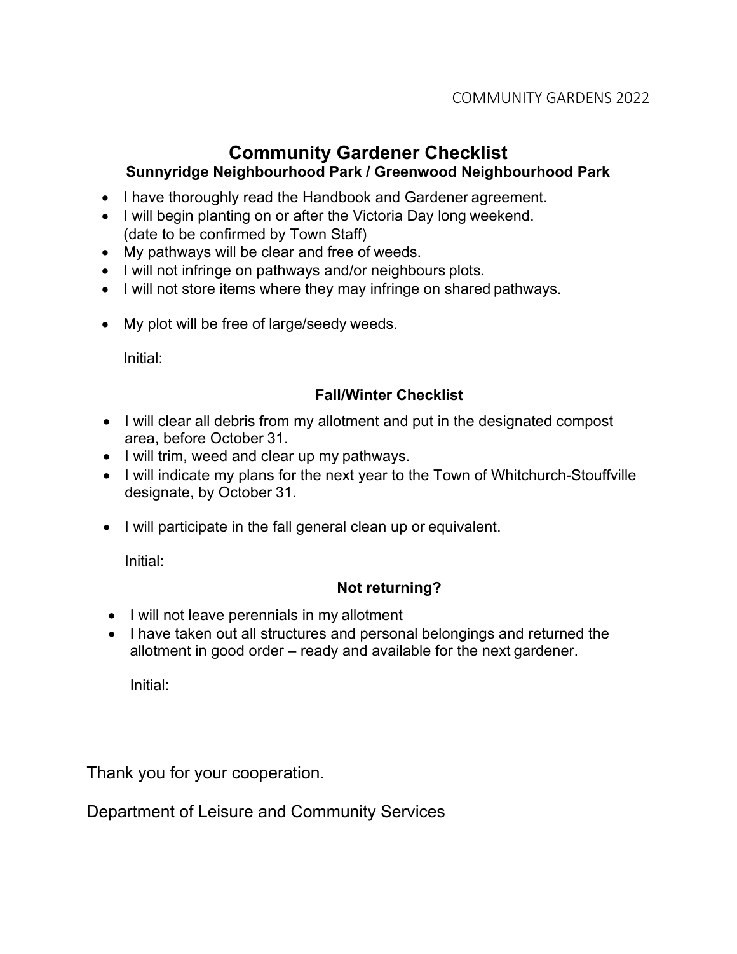# **Community Gardener Checklist Sunnyridge Neighbourhood Park / Greenwood Neighbourhood Park**

- I have thoroughly read the Handbook and Gardener agreement.
- I will begin planting on or after the Victoria Day long weekend. (date to be confirmed by Town Staff)
- My pathways will be clear and free of weeds.
- I will not infringe on pathways and/or neighbours plots.
- I will not store items where they may infringe on shared pathways.
- My plot will be free of large/seedy weeds.

Initial:

# **Fall/Winter Checklist**

- I will clear all debris from my allotment and put in the designated compost area, before October 31.
- I will trim, weed and clear up my pathways.
- I will indicate my plans for the next year to the Town of Whitchurch-Stouffville designate, by October 31.
- I will participate in the fall general clean up or equivalent.

Initial:

# **Not returning?**

- I will not leave perennials in my allotment
- I have taken out all structures and personal belongings and returned the allotment in good order – ready and available for the next gardener.

Initial:

Thank you for your cooperation.

Department of Leisure and Community Services